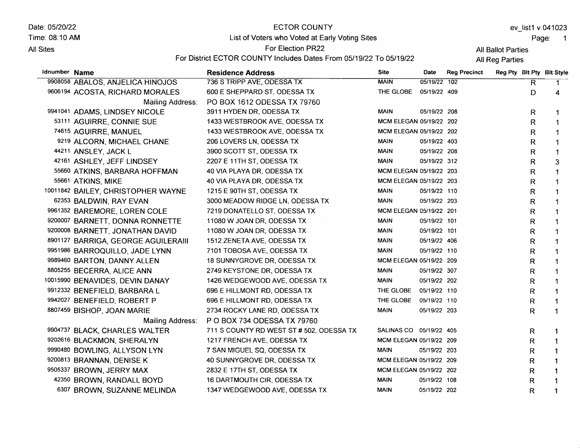Date: 05/20/22 Time: 08:10 AM

#### All Sites

# ECTOR COUNTY List of Voters who Voted at Early Voting Sites

For Election PR22

ev\_list1 v.041023

Page: 1

All Ballot Parties

| <b>SILES</b>  |                                     | For District ECTOR COUNTY Includes Dates From 05/19/22 To 05/19/22 | All Ballot Parties<br>All Reg Parties |              |                     |  |              |                           |  |  |
|---------------|-------------------------------------|--------------------------------------------------------------------|---------------------------------------|--------------|---------------------|--|--------------|---------------------------|--|--|
| Idnumber Name |                                     | <b>Residence Address</b>                                           | <b>Site</b>                           | Date         | <b>Reg Precinct</b> |  |              | Reg Pty Blt Pty Blt Style |  |  |
|               | 9908058 ABALOS, ANJELICA HINOJOS    | 736 S TRIPP AVE, ODESSA TX                                         | <b>MAIN</b>                           | 05/19/22 102 |                     |  | R            | 1                         |  |  |
|               | 9606194 ACOSTA, RICHARD MORALES     | 600 E SHEPPARD ST, ODESSA TX                                       | THE GLOBE                             | 05/19/22 409 |                     |  | D            | 4                         |  |  |
|               | Mailing Address:                    | PO BOX 1612 ODESSA TX 79760                                        |                                       |              |                     |  |              |                           |  |  |
|               | 9941041 ADAMS, LINDSEY NICOLE       | 3911 HYDEN DR, ODESSA TX                                           | MAIN                                  | 05/19/22 208 |                     |  | R            | 1                         |  |  |
|               | 53111 AGUIRRE, CONNIE SUE           | 1433 WESTBROOK AVE, ODESSA TX                                      | MCM ELEGAN 05/19/22 202               |              |                     |  | $\mathsf{R}$ | 1                         |  |  |
|               | 74615 AGUIRRE, MANUEL               | 1433 WESTBROOK AVE, ODESSA TX                                      | MCM ELEGAN 05/19/22 202               |              |                     |  | R            | 1                         |  |  |
|               | 9219 ALCORN, MICHAEL CHANE          | 206 LOVERS LN, ODESSA TX                                           | MAIN                                  | 05/19/22 403 |                     |  | R            | 1                         |  |  |
|               | 44211 ANSLEY, JACK L                | 3900 SCOTT ST, ODESSA TX                                           | <b>MAIN</b>                           | 05/19/22 208 |                     |  | $\mathsf{R}$ | 1                         |  |  |
|               | 42161 ASHLEY, JEFF LINDSEY          | 2207 E 11TH ST, ODESSA TX                                          | <b>MAIN</b>                           | 05/19/22 312 |                     |  | $\mathsf{R}$ | 3                         |  |  |
|               | 55660 ATKINS, BARBARA HOFFMAN       | 40 VIA PLAYA DR, ODESSA TX                                         | MCM ELEGAN 05/19/22 203               |              |                     |  | R            | $\mathbf 1$               |  |  |
|               | 55661 ATKINS, MIKE                  | 40 VIA PLAYA DR, ODESSA TX                                         | MCM ELEGAN 05/19/22 203               |              |                     |  | R            | 1                         |  |  |
|               | 10011842 BAILEY, CHRISTOPHER WAYNE  | 1215 E 90TH ST, ODESSA TX                                          | <b>MAIN</b>                           | 05/19/22 110 |                     |  | R            | 1                         |  |  |
|               | 62353 BALDWIN, RAY EVAN             | 3000 MEADOW RIDGE LN, ODESSA TX                                    | <b>MAIN</b>                           | 05/19/22 203 |                     |  | R            | $\mathbf 1$               |  |  |
|               | 9961352 BAREMORE, LOREN COLE        | 7219 DONATELLO ST, ODESSA TX                                       | MCM ELEGAN 05/19/22 201               |              |                     |  | $\mathsf{R}$ | $\mathbf{1}$              |  |  |
|               | 9200007 BARNETT, DONNA RONNETTE     | 11080 W JOAN DR, ODESSA TX                                         | <b>MAIN</b>                           | 05/19/22 101 |                     |  | $\mathsf{R}$ | $\mathbf 1$               |  |  |
|               | 9200008 BARNETT, JONATHAN DAVID     | 11080 W JOAN DR, ODESSA TX                                         | <b>MAIN</b>                           | 05/19/22 101 |                     |  | R            |                           |  |  |
|               | 8901127 BARRIGA, GEORGE AGUILERAIII | 1512 ZENETA AVE, ODESSA TX                                         | <b>MAIN</b>                           | 05/19/22 406 |                     |  | R            |                           |  |  |
|               | 9951986 BARROQUILLO, JADE LYNN      | 7101 TOBOSA AVE, ODESSA TX                                         | <b>MAIN</b>                           | 05/19/22 110 |                     |  | $\mathsf{R}$ | $\mathbf 1$               |  |  |
|               | 9989460 BARTON, DANNY ALLEN         | 18 SUNNYGROVE DR, ODESSA TX                                        | MCM ELEGAN 05/19/22 209               |              |                     |  | ${\sf R}$    | 1                         |  |  |
|               | 8805255 BECERRA, ALICE ANN          | 2749 KEYSTONE DR, ODESSA TX                                        | <b>MAIN</b>                           | 05/19/22 307 |                     |  | $\mathsf{R}$ | $\mathbf{1}$              |  |  |
|               | 10015990 BENAVIDES, DEVIN DANAY     | 1426 WEDGEWOOD AVE, ODESSA TX                                      | <b>MAIN</b>                           | 05/19/22 202 |                     |  | $\mathsf{R}$ | $\mathbf 1$               |  |  |
|               | 9912332 BENEFIELD, BARBARA L        | 696 E HILLMONT RD, ODESSA TX                                       | THE GLOBE                             | 05/19/22 110 |                     |  | R            | 1                         |  |  |
|               | 9942027 BENEFIELD, ROBERT P         | 696 E HILLMONT RD, ODESSA TX                                       | THE GLOBE                             | 05/19/22 110 |                     |  | R            |                           |  |  |
|               | 8807459 BISHOP, JOAN MARIE          | 2734 ROCKY LANE RD, ODESSA TX                                      | <b>MAIN</b>                           | 05/19/22 203 |                     |  | R            |                           |  |  |
|               | Mailing Address:                    | P O BOX 734 ODESSA TX 79760                                        |                                       |              |                     |  |              |                           |  |  |
|               | 9904737 BLACK, CHARLES WALTER       | 711 S COUNTY RD WEST ST # 502, ODESSA TX                           | SALINAS CO  05/19/22  405             |              |                     |  | R            |                           |  |  |
|               | 9202616 BLACKMON, SHERALYN          | 1217 FRENCH AVE, ODESSA TX                                         | MCM ELEGAN 05/19/22 209               |              |                     |  | $\mathsf{R}$ | $\mathbf{1}$              |  |  |
|               | 9990480 BOWLING, ALLYSON LYN        | 7 SAN MIGUEL SQ, ODESSA TX                                         | <b>MAIN</b>                           | 05/19/22 203 |                     |  | $\mathsf{R}$ | $\mathbf 1$               |  |  |
|               | 9200813 BRANNAN, DENISE K           | 40 SUNNYGROVE DR, ODESSA TX                                        | MCM ELEGAN 05/19/22 209               |              |                     |  | R.           | 1                         |  |  |
|               | 9505337 BROWN, JERRY MAX            | 2832 E 17TH ST, ODESSA TX                                          | MCM ELEGAN 05/19/22 202               |              |                     |  | R            | 1                         |  |  |
|               | 42350 BROWN, RANDALL BOYD           | 16 DARTMOUTH CIR, ODESSA TX                                        | <b>MAIN</b>                           | 05/19/22 108 |                     |  | R            | 1                         |  |  |
|               | 6307 BROWN, SUZANNE MELINDA         | 1347 WEDGEWOOD AVE, ODESSA TX                                      | <b>MAIN</b>                           | 05/19/22 202 |                     |  | $\mathsf R$  | 1                         |  |  |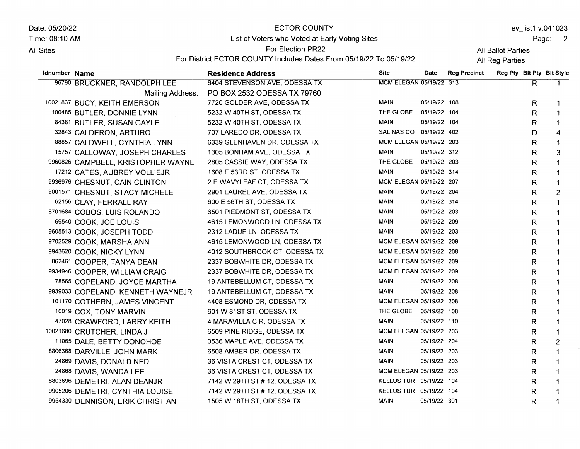Date: 05/20/22

**All Sites** 

Time: 08:10 AM

## ECTOR COUNTY List of Voters who Voted at Early Voting Sites

ev\_list1 v.041023

Page: 2

All Ballot Parties

For Election PR22 For District ECTOR COUNTY Includes Dates From 05/19/22 To 05/19/22

| Idnumber Name |                                    | <b>Residence Address</b>       | <b>Site</b>             | Date         | <b>Reg Precinct</b> | Reg Pty Bit Pty Bit Style |              |                |
|---------------|------------------------------------|--------------------------------|-------------------------|--------------|---------------------|---------------------------|--------------|----------------|
|               | 96790 BRUCKNER, RANDOLPH LEE       | 6404 STEVENSON AVE, ODESSA TX  | MCM ELEGAN 05/19/22 313 |              |                     |                           | R.           | 1.             |
|               | Mailing Address:                   | PO BOX 2532 ODESSA TX 79760    |                         |              |                     |                           |              |                |
|               | 10021837 BUCY, KEITH EMERSON       | 7720 GOLDER AVE, ODESSA TX     | <b>MAIN</b>             | 05/19/22 108 |                     |                           | R            |                |
|               | 100485 BUTLER, DONNIE LYNN         | 5232 W 40TH ST, ODESSA TX      | THE GLOBE               | 05/19/22 104 |                     |                           | R            | $\mathbf 1$    |
|               | 84381 BUTLER, SUSAN GAYLE          | 5232 W 40TH ST, ODESSA TX      | <b>MAIN</b>             | 05/19/22 104 |                     |                           | R            |                |
|               | 32843 CALDERON, ARTURO             | 707 LAREDO DR, ODESSA TX       | SALINAS CO 05/19/22 402 |              |                     |                           | D            | 4              |
|               | 88857 CALDWELL, CYNTHIA LYNN       | 6339 GLENHAVEN DR, ODESSA TX   | MCM ELEGAN 05/19/22 203 |              |                     |                           | R            | $\mathbf{1}$   |
|               | 15757 CALLOWAY, JOSEPH CHARLES     | 1305 BONHAM AVE, ODESSA TX     | <b>MAIN</b>             | 05/19/22 312 |                     |                           | R            | 3              |
|               | 9960826 CAMPBELL, KRISTOPHER WAYNE | 2805 CASSIE WAY, ODESSA TX     | THE GLOBE 05/19/22 203  |              |                     |                           | R            |                |
|               | 17212 CATES, AUBREY VOLLIEJR       | 1608 E 53RD ST, ODESSA TX      | <b>MAIN</b>             | 05/19/22 314 |                     |                           | R            |                |
|               | 9936976 CHESNUT, CAIN CLINTON      | 2 E WAVYLEAF CT, ODESSA TX     | MCM ELEGAN 05/19/22 207 |              |                     |                           | R            |                |
|               | 9001571 CHESNUT, STACY MICHELE     | 2901 LAUREL AVE, ODESSA TX     | <b>MAIN</b>             | 05/19/22 204 |                     |                           | R            | $\overline{2}$ |
|               | 62156 CLAY, FERRALL RAY            | 600 E 56TH ST, ODESSA TX       | <b>MAIN</b>             | 05/19/22 314 |                     |                           | R            | $\mathbf 1$    |
|               | 8701684 COBOS, LUIS ROLANDO        | 6501 PIEDMONT ST, ODESSA TX    | <b>MAIN</b>             | 05/19/22 203 |                     |                           | R            | $\mathbf{1}$   |
|               | 69540 COOK, JOE LOUIS              | 4615 LEMONWOOD LN, ODESSA TX   | <b>MAIN</b>             | 05/19/22 209 |                     |                           | $\mathsf R$  | 1              |
|               | 9605513 COOK, JOSEPH TODD          | 2312 LADUE LN, ODESSA TX       | <b>MAIN</b>             | 05/19/22 203 |                     |                           | R            | 1              |
|               | 9702529 COOK, MARSHA ANN           | 4615 LEMONWOOD LN, ODESSA TX   | MCM ELEGAN 05/19/22 209 |              |                     |                           | R            | 1              |
|               | 9943620 COOK, NICKY LYNN           | 4012 SOUTHBROOK CT, ODESSA TX  | MCM ELEGAN 05/19/22 208 |              |                     |                           | $\mathsf{R}$ | $\mathbf{1}$   |
|               | 862461 COOPER, TANYA DEAN          | 2337 BOBWHITE DR, ODESSA TX    | MCM ELEGAN 05/19/22 209 |              |                     |                           | R            | $\mathbf{1}$   |
|               | 9934946 COOPER, WILLIAM CRAIG      | 2337 BOBWHITE DR, ODESSA TX    | MCM ELEGAN 05/19/22 209 |              |                     |                           | $\mathsf{R}$ | 1              |
|               | 78565 COPELAND, JOYCE MARTHA       | 19 ANTEBELLUM CT, ODESSA TX    | <b>MAIN</b>             | 05/19/22 208 |                     |                           | R            | 1              |
|               | 9939033 COPELAND, KENNETH WAYNEJR  | 19 ANTEBELLUM CT, ODESSA TX    | MAIN                    | 05/19/22 208 |                     |                           | R            | 1              |
|               | 101170 COTHERN, JAMES VINCENT      | 4408 ESMOND DR, ODESSA TX      | MCM ELEGAN 05/19/22 208 |              |                     |                           | R            |                |
|               | 10019 COX, TONY MARVIN             | 601 W 81ST ST, ODESSA TX       | THE GLOBE 05/19/22 108  |              |                     |                           | R            |                |
|               | 47028 CRAWFORD, LARRY KEITH        | 4 MARAVILLA CIR, ODESSA TX     | <b>MAIN</b>             | 05/19/22 110 |                     |                           | R            | 1              |
|               | 10021680 CRUTCHER, LINDA J         | 6509 PINE RIDGE, ODESSA TX     | MCM ELEGAN 05/19/22 203 |              |                     |                           | R            | 1              |
|               | 11065 DALE, BETTY DONOHOE          | 3536 MAPLE AVE, ODESSA TX      | <b>MAIN</b>             | 05/19/22 204 |                     |                           | R            | $\overline{c}$ |
|               | 8806368 DARVILLE, JOHN MARK        | 6508 AMBER DR, ODESSA TX       | <b>MAIN</b>             | 05/19/22 203 |                     |                           | R            | $\mathbf 1$    |
|               | 24869 DAVIS, DONALD NED            | 36 VISTA CREST CT, ODESSA TX   | <b>MAIN</b>             | 05/19/22 203 |                     |                           | R            |                |
|               | 24868 DAVIS, WANDA LEE             | 36 VISTA CREST CT, ODESSA TX   | MCM ELEGAN 05/19/22 203 |              |                     |                           | R            |                |
|               | 8803696 DEMETRI, ALAN DEANJR       | 7142 W 29TH ST # 12, ODESSA TX | KELLUS TUR 05/19/22 104 |              |                     |                           | R            |                |
|               | 9905206 DEMETRI, CYNTHIA LOUISE    | 7142 W 29TH ST # 12, ODESSA TX | KELLUS TUR 05/19/22 104 |              |                     |                           | R            |                |
|               | 9954330 DENNISON, ERIK CHRISTIAN   | 1505 W 18TH ST, ODESSA TX      | <b>MAIN</b>             | 05/19/22 301 |                     |                           | R            | $\mathbf 1$    |
|               |                                    |                                |                         |              |                     |                           |              |                |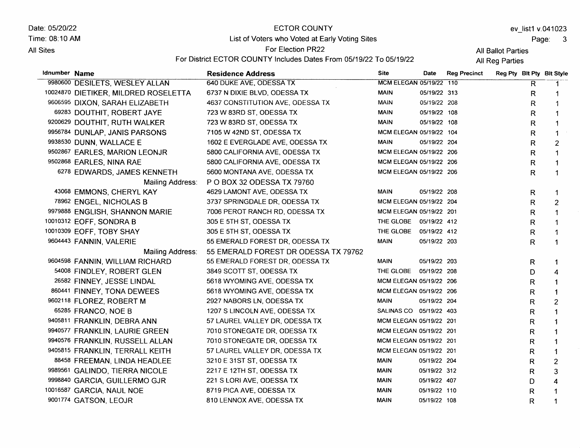Date: 05/20/22 Time: 08:10 AM All Sites

# ECTOR COUNTY List of Voters who Voted at Early Voting Sites

ev\_list1 v.041023

Page: 3

All Ballot Parties

For Election PR22 For District ECTOR COUNTY Includes Dates From 05/19/22 To 05/19/22

| Idnumber Name |                                      | <b>Residence Address</b>             | <b>Site</b>             | Date         | <b>Reg Precinct</b> |              | Reg Pty Bit Pty Bit Style |
|---------------|--------------------------------------|--------------------------------------|-------------------------|--------------|---------------------|--------------|---------------------------|
|               | 9980600 DESILETS, WESLEY ALLAN       | 640 DUKE AVE, ODESSA TX              | MCM ELEGAN 05/19/22 110 |              |                     | R            |                           |
|               | 10024870 DIETIKER, MILDRED ROSELETTA | 6737 N DIXIE BLVD, ODESSA TX         | <b>MAIN</b>             | 05/19/22 313 |                     | R            | $\mathbf 1$               |
|               | 9606595 DIXON, SARAH ELIZABETH       | 4637 CONSTITUTION AVE, ODESSA TX     | MAIN                    | 05/19/22 208 |                     | R            | 1                         |
|               | 69283 DOUTHIT, ROBERT JAYE           | 723 W 83RD ST, ODESSA TX             | <b>MAIN</b>             | 05/19/22 108 |                     | R            | $\mathbf 1$               |
|               | 9200629 DOUTHIT, RUTH WALKER         | 723 W 83RD ST, ODESSA TX             | <b>MAIN</b>             | 05/19/22 108 |                     | R            | $\mathbf{1}$              |
|               | 9956784 DUNLAP, JANIS PARSONS        | 7105 W 42ND ST, ODESSA TX            | MCM ELEGAN 05/19/22 104 |              |                     | R            | $\mathbf 1$               |
|               | 9938530 DUNN, WALLACE E              | 1602 E EVERGLADE AVE, ODESSA TX      | MAIN                    | 05/19/22 204 |                     | R            | $\overline{2}$            |
|               | 9502867 EARLES, MARION LEONJR        | 5800 CALIFORNIA AVE, ODESSA TX       | MCM ELEGAN 05/19/22 206 |              |                     | R            | $\mathbf 1$               |
|               | 9502868 EARLES, NINA RAE             | 5800 CALIFORNIA AVE, ODESSA TX       | MCM ELEGAN 05/19/22 206 |              |                     | R            |                           |
|               | 6278 EDWARDS, JAMES KENNETH          | 5600 MONTANA AVE, ODESSA TX          | MCM ELEGAN 05/19/22 206 |              |                     | R            | 1                         |
|               | Mailing Address:                     | P O BOX 32 ODESSA TX 79760           |                         |              |                     |              |                           |
|               | 43068 EMMONS, CHERYL KAY             | 4629 LAMONT AVE, ODESSA TX           | <b>MAIN</b>             | 05/19/22 208 |                     | R            |                           |
|               | 78962 ENGEL, NICHOLAS B              | 3737 SPRINGDALE DR, ODESSA TX        | MCM ELEGAN 05/19/22 204 |              |                     | R            | $\overline{c}$            |
|               | 9979888 ENGLISH, SHANNON MARIE       | 7006 PEROT RANCH RD, ODESSA TX       | MCM ELEGAN 05/19/22 201 |              |                     | R.           | $\mathbf 1$               |
|               | 10010312 EOFF, SONDRA B              | 305 E 5TH ST, ODESSA TX              | THE GLOBE 05/19/22 412  |              |                     | $\mathsf R$  | $\mathbf 1$               |
|               | 10010309 EOFF, TOBY SHAY             | 305 E 5TH ST, ODESSA TX              | THE GLOBE 05/19/22 412  |              |                     | R            | 1                         |
|               | 9604443 FANNIN, VALERIE              | 55 EMERALD FOREST DR, ODESSA TX      | <b>MAIN</b>             | 05/19/22 203 |                     | R            | $\mathbf 1$               |
|               | Mailing Address:                     | 55 EMERALD FOREST DR ODESSA TX 79762 |                         |              |                     |              |                           |
|               | 9604598 FANNIN, WILLIAM RICHARD      | 55 EMERALD FOREST DR, ODESSA TX      | <b>MAIN</b>             | 05/19/22 203 |                     | $\mathsf{R}$ | $\mathbf{1}$              |
|               | 54008 FINDLEY, ROBERT GLEN           | 3849 SCOTT ST, ODESSA TX             | THE GLOBE 05/19/22 208  |              |                     | D            | 4                         |
|               | 26582 FINNEY, JESSE LINDAL           | 5618 WYOMING AVE, ODESSA TX          | MCM ELEGAN 05/19/22 206 |              |                     | $\mathsf{R}$ | $\mathbf{1}$              |
|               | 860441 FINNEY, TONA DEWEES           | 5618 WYOMING AVE, ODESSA TX          | MCM ELEGAN 05/19/22 206 |              |                     | R            | $\mathbf 1$               |
|               | 9602118 FLOREZ, ROBERT M             | 2927 NABORS LN, ODESSA TX            | <b>MAIN</b>             | 05/19/22 204 |                     | R            | $\overline{2}$            |
|               | 65285 FRANCO, NOE B                  | 1207 S LINCOLN AVE, ODESSA TX        | SALINAS CO 05/19/22 403 |              |                     | R.           | $\mathbf 1$               |
|               | 9405811 FRANKLIN, DEBRA ANN          | 57 LAUREL VALLEY DR, ODESSA TX       | MCM ELEGAN 05/19/22 201 |              |                     | R            | $\mathbf{1}$              |
|               | 9940577 FRANKLIN, LAURIE GREEN       | 7010 STONEGATE DR, ODESSA TX         | MCM ELEGAN 05/19/22 201 |              |                     | R            | $\mathbf{1}$              |
|               | 9940576 FRANKLIN, RUSSELL ALLAN      | 7010 STONEGATE DR, ODESSA TX         | MCM ELEGAN 05/19/22 201 |              |                     | R            | $\mathbf 1$               |
|               | 9405815 FRANKLIN, TERRALL KEITH      | 57 LAUREL VALLEY DR, ODESSA TX       | MCM ELEGAN 05/19/22 201 |              |                     | R            | 1                         |
|               | 88458 FREEMAN, LINDA HEADLEE         | 3210 E 31ST ST, ODESSA TX            | MAIN                    | 05/19/22 204 |                     | R            | $\overline{2}$            |
|               | 9989561 GALINDO, TIERRA NICOLE       | 2217 E 12TH ST, ODESSA TX            | MAIN                    | 05/19/22 312 |                     | R            | 3                         |
|               | 9998840 GARCIA, GUILLERMO GJR        | 221 S LORI AVE, ODESSA TX            | MAIN                    | 05/19/22 407 |                     | D            | $\boldsymbol{4}$          |
|               | 10016587 GARCIA, NAUL NOE            | 8719 PICA AVE, ODESSA TX             | <b>MAIN</b>             | 05/19/22 110 |                     | R            | 1                         |
|               | 9001774 GATSON, LEOJR                | 810 LENNOX AVE, ODESSA TX            | <b>MAIN</b>             | 05/19/22 108 |                     | R            | 1                         |
|               |                                      |                                      |                         |              |                     |              |                           |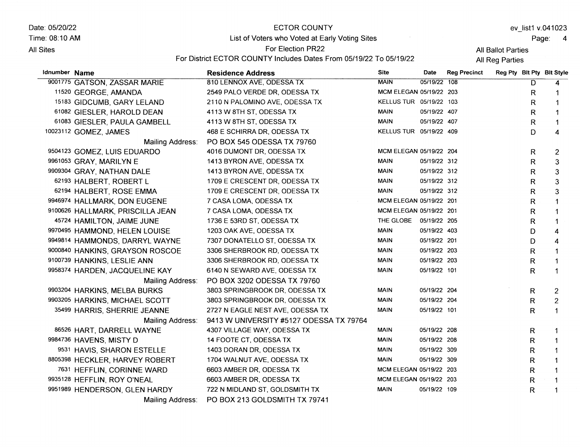Date: 05/20/22 Time: 08:10 AM

**All Sites** 

#### ECTOR COUNTY

List of Voters who Voted at Early Voting Sites

ev\_list1 v.041023

Page: <sup>4</sup>

All Ballot Parties

For Election PR22 For District ECTOR COUNTY Includes Dates From 05/19/22 To 05/19/22

| Idnumber Name |                                  | <b>Residence Address</b>                | <b>Site</b>             | Date         | <b>Reg Precinct</b> |              | Reg Pty Blt Pty Blt Style |
|---------------|----------------------------------|-----------------------------------------|-------------------------|--------------|---------------------|--------------|---------------------------|
|               | 9001775 GATSON, ZASSAR MARIE     | 810 LENNOX AVE, ODESSA TX               | <b>MAIN</b>             | 05/19/22 108 |                     | D            | 4                         |
|               | 11520 GEORGE, AMANDA             | 2549 PALO VERDE DR, ODESSA TX           | MCM ELEGAN 05/19/22 203 |              |                     | R            | 1                         |
|               | 15183 GIDCUMB, GARY LELAND       | 2110 N PALOMINO AVE, ODESSA TX          | KELLUS TUR 05/19/22 103 |              |                     | R            | 1                         |
|               | 61082 GIESLER, HAROLD DEAN       | 4113 W 8TH ST, ODESSA TX                | <b>MAIN</b>             | 05/19/22 407 |                     | R            | $\mathbf 1$               |
|               | 61083 GIESLER, PAULA GAMBELL     | 4113 W 8TH ST, ODESSA TX                | <b>MAIN</b>             | 05/19/22 407 |                     | R            | $\mathbf 1$               |
|               | 10023112 GOMEZ, JAMES            | 468 E SCHIRRA DR, ODESSA TX             | KELLUS TUR 05/19/22 409 |              |                     | D            | $\overline{4}$            |
|               | Mailing Address:                 | PO BOX 545 ODESSA TX 79760              |                         |              |                     |              |                           |
|               | 9504123 GOMEZ, LUIS EDUARDO      | 4016 DUMONT DR, ODESSA TX               | MCM ELEGAN 05/19/22 204 |              |                     | R            | $\overline{2}$            |
|               | 9961053 GRAY, MARILYN E          | 1413 BYRON AVE, ODESSA TX               | <b>MAIN</b>             | 05/19/22 312 |                     | R            | 3                         |
|               | 9909304 GRAY, NATHAN DALE        | 1413 BYRON AVE, ODESSA TX               | <b>MAIN</b>             | 05/19/22 312 |                     | R            | 3                         |
|               | 62193 HALBERT, ROBERT L          | 1709 E CRESCENT DR, ODESSA TX           | <b>MAIN</b>             | 05/19/22 312 |                     | R.           | 3                         |
|               | 62194 HALBERT, ROSE EMMA         | 1709 E CRESCENT DR, ODESSA TX           | <b>MAIN</b>             | 05/19/22 312 |                     | R            | 3                         |
|               | 9946974 HALLMARK, DON EUGENE     | 7 CASA LOMA, ODESSA TX                  | MCM ELEGAN 05/19/22 201 |              |                     | R            | $\mathbf{1}$              |
|               | 9100626 HALLMARK, PRISCILLA JEAN | 7 CASA LOMA, ODESSA TX                  | MCM ELEGAN 05/19/22 201 |              |                     | R            |                           |
|               | 45724 HAMILTON, JAIME JUNE       | 1736 E 53RD ST, ODESSA TX               | THE GLOBE 05/19/22 205  |              |                     | R            | $\mathbf 1$               |
|               | 9970495 HAMMOND, HELEN LOUISE    | 1203 OAK AVE, ODESSA TX                 | <b>MAIN</b>             | 05/19/22 403 |                     | D            | 4                         |
|               | 9949814 HAMMONDS, DARRYL WAYNE   | 7307 DONATELLO ST, ODESSA TX            | <b>MAIN</b>             | 05/19/22 201 |                     | D            | 4                         |
|               | 9000840 HANKINS, GRAYSON ROSCOE  | 3306 SHERBROOK RD, ODESSA TX            | <b>MAIN</b>             | 05/19/22 203 |                     | $\mathsf R$  | $\mathbf{1}$              |
|               | 9100739 HANKINS, LESLIE ANN      | 3306 SHERBROOK RD, ODESSA TX            | <b>MAIN</b>             | 05/19/22 203 |                     | R.           | $\mathbf 1$               |
|               | 9958374 HARDEN, JACQUELINE KAY   | 6140 N SEWARD AVE, ODESSA TX            | <b>MAIN</b>             | 05/19/22 101 |                     | R.           | $\mathbf 1$               |
|               | Mailing Address:                 | PO BOX 3202 ODESSA TX 79760             |                         |              |                     |              |                           |
|               | 9903204 HARKINS, MELBA BURKS     | 3803 SPRINGBROOK DR, ODESSA TX          | MAIN                    | 05/19/22 204 |                     | R.           | 2                         |
|               | 9903205 HARKINS, MICHAEL SCOTT   | 3803 SPRINGBROOK DR, ODESSA TX          | <b>MAIN</b>             | 05/19/22 204 |                     | R            | $\overline{2}$            |
|               | 35499 HARRIS, SHERRIE JEANNE     | 2727 N EAGLE NEST AVE, ODESSA TX        | <b>MAIN</b>             | 05/19/22 101 |                     | R            | $\mathbf{1}$              |
|               | Mailing Address:                 | 9413 W UNIVERSITY #5127 ODESSA TX 79764 |                         |              |                     |              |                           |
|               | 86526 HART, DARRELL WAYNE        | 4307 VILLAGE WAY, ODESSA TX             | <b>MAIN</b>             | 05/19/22 208 |                     | R            | -1                        |
|               | 9984736 HAVENS, MISTY D          | 14 FOOTE CT, ODESSA TX                  | <b>MAIN</b>             | 05/19/22 208 |                     | R            |                           |
|               | 9531 HAVIS, SHARON ESTELLE       | 1403 DORAN DR, ODESSA TX                | <b>MAIN</b>             | 05/19/22 309 |                     | R            |                           |
|               | 8805398 HECKLER, HARVEY ROBERT   | 1704 WALNUT AVE, ODESSA TX              | <b>MAIN</b>             | 05/19/22 309 |                     | $\mathsf{R}$ | $\mathbf{1}$              |
|               | 7631 HEFFLIN, CORINNE WARD       | 6603 AMBER DR, ODESSA TX                | MCM ELEGAN 05/19/22 203 |              |                     | R            |                           |
|               | 9935128 HEFFLIN, ROY O'NEAL      | 6603 AMBER DR, ODESSA TX                | MCM ELEGAN 05/19/22 203 |              |                     | R            |                           |
|               | 9951989 HENDERSON, GLEN HARDY    | 722 N MIDLAND ST, GOLDSMITH TX          | <b>MAIN</b>             | 05/19/22 109 |                     | $\mathsf{R}$ |                           |
|               | Mailing Address:                 | PO BOX 213 GOLDSMITH TX 79741           |                         |              |                     |              |                           |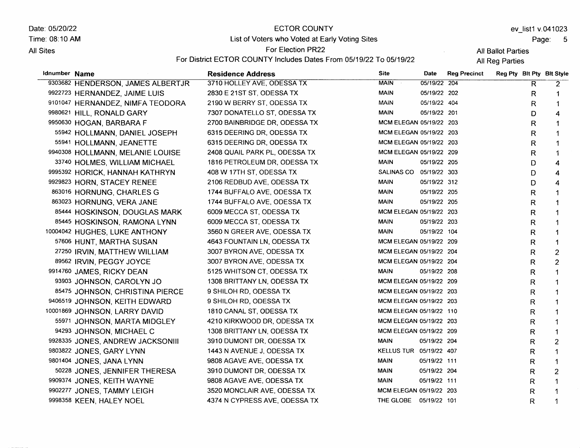Date: 05/20/22 Time: 08:10 AM All Sites

## **ECTOR COUNTY** List of Voters who Voted at Early Voting Sites

Page: 5

All Ballot Parties

 $\sim$ 

For Election PR22 For District ECTOR COUNTY lncludes Dates From 05119122 To 05119122

| Idnumber Name |                                   | <b>Residence Address</b>      | <b>Site</b>             | Date         | <b>Reg Precinct</b> |    | Reg Pty Bit Pty Bit Style |
|---------------|-----------------------------------|-------------------------------|-------------------------|--------------|---------------------|----|---------------------------|
|               | 9303682 HENDERSON, JAMES ALBERTJR | 3710 HOLLEY AVE, ODESSA TX    | <b>MAIN</b>             | 05/19/22 204 |                     | R. | $\overline{2}$            |
|               | 9922723 HERNANDEZ, JAIME LUIS     | 2830 E 21ST ST, ODESSA TX     | <b>MAIN</b>             | 05/19/22 202 |                     | R  | 1                         |
|               | 9101047 HERNANDEZ, NIMFA TEODORA  | 2190 W BERRY ST, ODESSA TX    | MAIN                    | 05/19/22 404 |                     | R  | $\mathbf{1}$              |
|               | 9980621 HILL, RONALD GARY         | 7307 DONATELLO ST, ODESSA TX  | <b>MAIN</b>             | 05/19/22 201 |                     | D  | 4                         |
|               | 9950630 HOGAN, BARBARA F          | 2700 BAINBRIDGE DR, ODESSA TX | MCM ELEGAN 05/19/22 203 |              |                     | R  | $\mathbf 1$               |
|               | 55942 HOLLMANN, DANIEL JOSEPH     | 6315 DEERING DR, ODESSA TX    | MCM ELEGAN 05/19/22 203 |              |                     | R  |                           |
|               | 55941 HOLLMANN, JEANETTE          | 6315 DEERING DR, ODESSA TX    | MCM ELEGAN 05/19/22 203 |              |                     | R  |                           |
|               | 9940308 HOLLMANN, MELANIE LOUISE  | 2408 QUAIL PARK PL, ODESSA TX | MCM ELEGAN 05/19/22 209 |              |                     | R  | 1                         |
|               | 33740 HOLMES, WILLIAM MICHAEL     | 1816 PETROLEUM DR, ODESSA TX  | MAIN                    | 05/19/22 205 |                     | D  | $\boldsymbol{4}$          |
|               | 9995392 HORICK, HANNAH KATHRYN    | 408 W 17TH ST, ODESSA TX      | SALINAS CO 05/19/22 303 |              |                     | D  | $\boldsymbol{4}$          |
|               | 9929823 HORN, STACEY RENEE        | 2106 REDBUD AVE, ODESSA TX    | MAIN                    | 05/19/22 312 |                     | D  | $\overline{4}$            |
|               | 863016 HORNUNG, CHARLES G         | 1744 BUFFALO AVE, ODESSA TX   | <b>MAIN</b>             | 05/19/22 205 |                     | R  | $\blacktriangleleft$      |
|               | 863023 HORNUNG, VERA JANE         | 1744 BUFFALO AVE, ODESSA TX   | <b>MAIN</b>             | 05/19/22 205 |                     | R  | $\mathbf{1}$              |
|               | 85444 HOSKINSON, DOUGLAS MARK     | 6009 MECCA ST, ODESSA TX      | MCM ELEGAN 05/19/22 203 |              |                     | R  | $\mathbf 1$               |
|               | 85445 HOSKINSON, RAMONA LYNN      | 6009 MECCA ST, ODESSA TX      | <b>MAIN</b>             | 05/19/22 203 |                     | R  | $\mathbf 1$               |
|               | 10004042 HUGHES, LUKE ANTHONY     | 3560 N GREER AVE, ODESSA TX   | MAIN                    | 05/19/22 104 |                     | R  | 1                         |
|               | 57606 HUNT, MARTHA SUSAN          | 4643 FOUNTAIN LN, ODESSA TX   | MCM ELEGAN 05/19/22 209 |              |                     | R  | $\mathbf{1}$              |
|               | 27250 IRVIN, MATTHEW WILLIAM      | 3007 BYRON AVE, ODESSA TX     | MCM ELEGAN 05/19/22 204 |              |                     | R  | $\overline{2}$            |
|               | 89562 IRVIN, PEGGY JOYCE          | 3007 BYRON AVE, ODESSA TX     | MCM ELEGAN 05/19/22 204 |              |                     | R  | 2                         |
|               | 9914760 JAMES, RICKY DEAN         | 5125 WHITSON CT, ODESSA TX    | <b>MAIN</b>             | 05/19/22 208 |                     | R  | $\mathbf 1$               |
|               | 93903 JOHNSON, CAROLYN JO         | 1308 BRITTANY LN, ODESSA TX   | MCM ELEGAN 05/19/22 209 |              |                     | R  | 1                         |
|               | 85475 JOHNSON, CHRISTINA PIERCE   | 9 SHILOH RD, ODESSA TX        | MCM ELEGAN 05/19/22 203 |              |                     | R  | 1                         |
|               | 9406519 JOHNSON, KEITH EDWARD     | 9 SHILOH RD, ODESSA TX        | MCM ELEGAN 05/19/22 203 |              |                     | R  | $\mathbf 1$               |
|               | 10001869 JOHNSON, LARRY DAVID     | 1810 CANAL ST, ODESSA TX      | MCM ELEGAN 05/19/22 110 |              |                     | R  | $\mathbf 1$               |
|               | 55971 JOHNSON, MARTA MIDGLEY      | 4210 KIRKWOOD DR, ODESSA TX   | MCM ELEGAN 05/19/22 203 |              |                     | R  | 1                         |
|               | 94293 JOHNSON, MICHAEL C          | 1308 BRITTANY LN, ODESSA TX   | MCM ELEGAN 05/19/22 209 |              |                     | R  | $\mathbf{1}$              |
|               | 9928335 JONES, ANDREW JACKSONIII  | 3910 DUMONT DR, ODESSA TX     | <b>MAIN</b>             | 05/19/22 204 |                     | R  | $\overline{2}$            |
|               | 9803822 JONES, GARY LYNN          | 1443 N AVENUE J, ODESSA TX    | KELLUS TUR 05/19/22 407 |              |                     | R  | 1                         |
|               | 9801404 JONES, JANA LYNN          | 9808 AGAVE AVE, ODESSA TX     | <b>MAIN</b>             | 05/19/22 111 |                     | R  | $\mathbf{1}$              |
|               | 50228 JONES, JENNIFER THERESA     | 3910 DUMONT DR, ODESSA TX     | <b>MAIN</b>             | 05/19/22 204 |                     | R  | $\overline{2}$            |
|               | 9909374 JONES, KEITH WAYNE        | 9808 AGAVE AVE, ODESSA TX     | <b>MAIN</b>             | 05/19/22 111 |                     | R. | $\mathbf 1$               |
|               | 9902277 JONES, TAMMY LEIGH        | 3520 MONCLAIR AVE, ODESSA TX  | MCM ELEGAN 05/19/22 203 |              |                     | R  | 1                         |
|               | 9998358 KEEN, HALEY NOEL          | 4374 N CYPRESS AVE, ODESSA TX | THE GLOBE 05/19/22 101  |              |                     | R  | $\mathbf 1$               |
|               |                                   |                               |                         |              |                     |    |                           |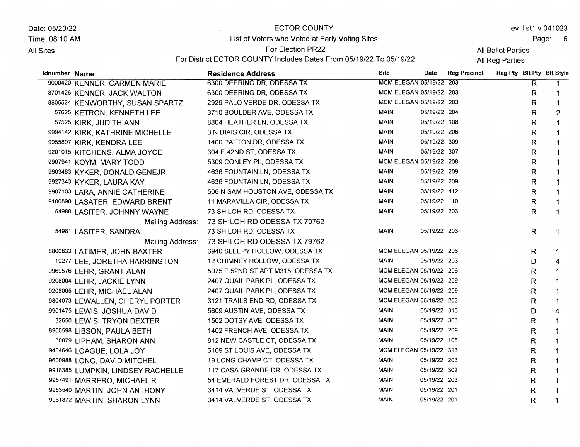Date: 05/20/22 Time: 08:10 AM

**All Sites** 

## ECTOR COUNTY List of Voters who Voted at Early Voting Sites

ev\_list1 v.041023

Page: <sup>6</sup>

All Ballot Parties

For Election PR22 For District ECTOR COUNTY Includes Dates From 05/19/22 To 05/19/22

| Idnumber Name |                                   | <b>Residence Address</b>           | <b>Site</b>                   | Date         | <b>Reg Precinct</b> | Reg Pty Bit Pty Bit Style |              |                |
|---------------|-----------------------------------|------------------------------------|-------------------------------|--------------|---------------------|---------------------------|--------------|----------------|
|               | 9000420 KENNER, CARMEN MARIE      | 6300 DEERING DR, ODESSA TX         | MCM ELEGAN 05/19/22 203       |              |                     |                           | R.           |                |
|               | 8701426 KENNER, JACK WALTON       | 6300 DEERING DR, ODESSA TX         | MCM ELEGAN 05/19/22 203       |              |                     |                           | R            | 1              |
|               | 8805524 KENWORTHY, SUSAN SPARTZ   | 2929 PALO VERDE DR, ODESSA TX      | MCM ELEGAN 05/19/22 203       |              |                     |                           | R.           | 1              |
|               | 57625 KETRON, KENNETH LEE         | 3710 BOULDER AVE, ODESSA TX        | <b>MAIN</b>                   | 05/19/22 204 |                     |                           | R            | $\overline{c}$ |
|               | 57525 KIRK, JUDITH ANN            | 8804 HEATHER LN, ODESSA TX         | MAIN                          | 05/19/22 108 |                     |                           | R            | 1              |
|               | 9994142 KIRK, KATHRINE MICHELLE   | 3 N DIAIS CIR, ODESSA TX           | MAIN                          | 05/19/22 206 |                     |                           | R            | $\mathbf{1}$   |
|               | 9955897 KIRK, KENDRA LEE          | 1400 PATTON DR, ODESSA TX          | <b>MAIN</b>                   | 05/19/22 309 |                     |                           | $\mathsf R$  | $\mathbf{1}$   |
|               | 9201015 KITCHENS, ALMA JOYCE      | 304 E 42ND ST, ODESSA TX           | MAIN                          | 05/19/22 307 |                     |                           | $\mathsf R$  | $\mathbf{1}$   |
|               | 9907941 KOYM, MARY TODD           | 5309 CONLEY PL, ODESSA TX          | MCM ELEGAN 05/19/22 208       |              |                     |                           | R            | 1              |
|               | 9603483 KYKER, DONALD GENEJR      | 4636 FOUNTAIN LN, ODESSA TX        | <b>MAIN</b>                   | 05/19/22 209 |                     |                           | R            |                |
|               | 9927343 KYKER, LAURA KAY          | 4636 FOUNTAIN LN, ODESSA TX        | <b>MAIN</b>                   | 05/19/22 209 |                     |                           | R            | 1              |
|               | 9907103 LARA, ANNIE CATHERINE     | 506 N SAM HOUSTON AVE, ODESSA TX   | <b>MAIN</b>                   | 05/19/22 412 |                     |                           | R            | 1              |
|               | 9100890 LASATER, EDWARD BRENT     | 11 MARAVILLA CIR, ODESSA TX        | MAIN                          | 05/19/22 110 |                     |                           | R            | 1              |
|               | 54980 LASITER, JOHNNY WAYNE       | 73 SHILOH RD, ODESSA TX            | <b>MAIN</b>                   | 05/19/22 203 |                     |                           | R            | $\mathbf 1$    |
|               | Mailing Address:                  | 73 SHILOH RD ODESSA TX 79762       |                               |              |                     |                           |              |                |
|               | 54981 LASITER, SANDRA             | 73 SHILOH RD, ODESSA TX            | <b>MAIN</b>                   | 05/19/22 203 |                     |                           | $\mathsf{R}$ | $\mathbf 1$    |
|               | Mailing Address:                  | 73 SHILOH RD ODESSA TX 79762       |                               |              |                     |                           |              |                |
|               | 8800833 LATIMER, JOHN BAXTER      | 6940 SLEEPY HOLLOW, ODESSA TX      | MCM ELEGAN 05/19/22 206       |              |                     |                           | R            | 1              |
|               | 19277 LEE, JORETHA HARRINGTON     | 12 CHIMNEY HOLLOW, ODESSA TX       | MAIN                          | 05/19/22 203 |                     |                           | D            | $\overline{4}$ |
|               | 9969576 LEHR, GRANT ALAN          | 5075 E 52ND ST APT M315, ODESSA TX | MCM ELEGAN 05/19/22 206       |              |                     |                           | R            |                |
|               | 9208004 LEHR, JACKIE LYNN         | 2407 QUAIL PARK PL, ODESSA TX      | MCM ELEGAN 05/19/22 209       |              |                     |                           | R            |                |
|               | 9208005 LEHR, MICHAEL ALAN        | 2407 QUAIL PARK PL, ODESSA TX      | MCM ELEGAN 05/19/22 209       |              |                     |                           | R            | 1              |
|               | 9804073 LEWALLEN, CHERYL PORTER   | 3121 TRAILS END RD, ODESSA TX      | MCM ELEGAN 05/19/22 203       |              |                     |                           | R            | 1              |
|               | 9901475 LEWIS, JOSHUA DAVID       | 5609 AUSTIN AVE, ODESSA TX         | <b>MAIN</b><br>$\sim 10^{-1}$ | 05/19/22 313 |                     |                           | D            | 4              |
|               | 32650 LEWIS, TRYON DEXTER         | 1502 DOTSY AVE, ODESSA TX          | MAIN                          | 05/19/22 303 |                     |                           | R            | $\mathbf 1$    |
|               | 8900598 LIBSON, PAULA BETH        | 1402 FRENCH AVE, ODESSA TX         | <b>MAIN</b>                   | 05/19/22 209 |                     |                           | R            | $\mathbf{1}$   |
|               | 30079 LIPHAM, SHARON ANN          | 812 NEW CASTLE CT, ODESSA TX       | <b>MAIN</b>                   | 05/19/22 108 |                     |                           | R            | $\mathbf 1$    |
|               | 9404646 LOAGUE, LOLA JOY          | 6109 ST LOUIS AVE, ODESSA TX       | MCM ELEGAN 05/19/22 313       |              |                     |                           | R            | $\mathbf{1}$   |
|               | 9600988 LONG, DAVID MITCHEL       | 19 LONG CHAMP CT, ODESSA TX        | <b>MAIN</b>                   | 05/19/22 203 |                     |                           | R            | 1              |
|               | 9918385 LUMPKIN, LINDSEY RACHELLE | 117 CASA GRANDE DR, ODESSA TX      | MAIN                          | 05/19/22 302 |                     |                           | R            | $\mathbf 1$    |
|               | 9957491 MARRERO, MICHAEL R        | 54 EMERALD FOREST DR, ODESSA TX    | <b>MAIN</b>                   | 05/19/22 203 |                     |                           | R            | 1              |
|               | 9953540 MARTIN, JOHN ANTHONY      | 3414 VALVERDE ST, ODESSA TX        | <b>MAIN</b>                   | 05/19/22 201 |                     |                           | $\mathsf{R}$ | $\mathbf{1}$   |
|               | 9961872 MARTIN, SHARON LYNN       | 3414 VALVERDE ST, ODESSA TX        | <b>MAIN</b>                   | 05/19/22 201 |                     |                           | $\mathsf{R}$ | $\mathbf 1$    |
|               |                                   |                                    |                               |              |                     |                           |              |                |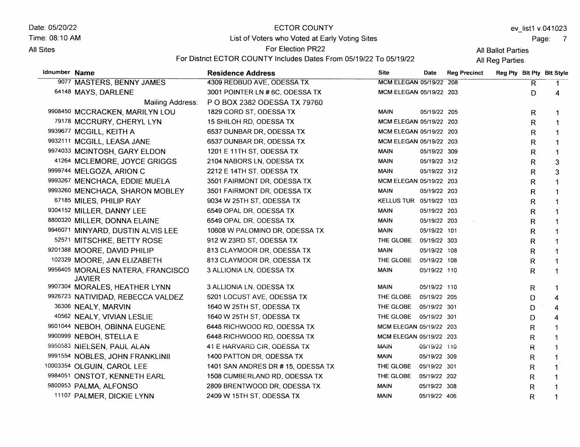Date: 05/20/22

Time: 08:10 AM

#### **All Sites**

#### **ECTOR COUNTY**

List of Voters who Voted at Early Voting Sites For Election PR22

ev\_list1 v.041023

Page: 7

All Ballot Parties All Reg Parties

|               |                                                    | For District ECTOR COUNTY Includes Dates From 05/19/22 To 05/19/22 |                         |              | All Reg Parties     |                           |                |                |
|---------------|----------------------------------------------------|--------------------------------------------------------------------|-------------------------|--------------|---------------------|---------------------------|----------------|----------------|
| Idnumber Name |                                                    | <b>Residence Address</b>                                           | <b>Site</b>             | Date         | <b>Reg Precinct</b> | Reg Pty Blt Pty Bit Style |                |                |
|               | 9077 MASTERS, BENNY JAMES                          | 4309 REDBUD AVE, ODESSA TX                                         | MCM ELEGAN 05/19/22 208 |              |                     |                           | $\overline{R}$ | $\mathbf{1}$   |
|               | 64148 MAYS, DARLENE                                | 3001 POINTER LN #6C, ODESSA TX                                     | MCM ELEGAN 05/19/22 203 |              |                     |                           | D              | 4              |
|               | Mailing Address:                                   | P O BOX 2382 ODESSA TX 79760                                       |                         |              |                     |                           |                |                |
|               | 9908450 MCCRACKEN, MARILYN LOU                     | 1829 CORD ST, ODESSA TX                                            | MAIN                    | 05/19/22 205 |                     |                           | R              | 1              |
|               | 79178 MCCRURY, CHERYL LYN                          | 15 SHILOH RD, ODESSA TX                                            | MCM ELEGAN 05/19/22 203 |              |                     |                           | R              | $\mathbf 1$    |
|               | 9939677 MCGILL, KEITH A                            | 6537 DUNBAR DR, ODESSA TX                                          | MCM ELEGAN 05/19/22 203 |              |                     |                           | R              |                |
|               | 9932111 MCGILL, LEASA JANE                         | 6537 DUNBAR DR, ODESSA TX                                          | MCM ELEGAN 05/19/22 203 |              |                     |                           | R              | 1              |
|               | 9974033 MCINTOSH, GARY ELDON                       | 1201 E 11TH ST, ODESSA TX                                          | <b>MAIN</b>             | 05/19/22 309 |                     |                           | R              | $\mathbf{1}$   |
|               | 41264 MCLEMORE, JOYCE GRIGGS                       | 2104 NABORS LN, ODESSA TX                                          | <b>MAIN</b>             | 05/19/22 312 |                     |                           | R              | 3              |
|               | 9999744 MELGOZA, ARION C                           | 2212 E 14TH ST, ODESSA TX                                          | <b>MAIN</b>             | 05/19/22 312 |                     |                           | R              | 3              |
|               | 9993267 MENCHACA, EDDIE MUELA                      | 3501 FAIRMONT DR, ODESSA TX                                        | MCM ELEGAN 05/19/22 203 |              |                     |                           | R              | $\mathbf{1}$   |
|               | 9993260 MENCHACA, SHARON MOBLEY                    | 3501 FAIRMONT DR, ODESSA TX                                        | <b>MAIN</b>             | 05/19/22 203 |                     |                           | R              | $\mathbf 1$    |
|               | 67185 MILES, PHILIP RAY                            | 9034 W 25TH ST, ODESSA TX                                          | KELLUS TUR 05/19/22 103 |              |                     |                           | R              | $\mathbf 1$    |
|               | 9304152 MILLER, DANNY LEE                          | 6549 OPAL DR, ODESSA TX                                            | <b>MAIN</b>             | 05/19/22 203 |                     |                           | R.             | $\mathbf 1$    |
|               | 8800320 MILLER, DONNA ELAINE                       | 6549 OPAL DR, ODESSA TX                                            | <b>MAIN</b>             | 05/19/22 203 |                     |                           | R              | $\mathbf{1}$   |
|               | 9946071 MINYARD, DUSTIN ALVIS LEE                  | 10608 W PALOMINO DR, ODESSA TX                                     | <b>MAIN</b>             | 05/19/22 101 |                     |                           | R              | $\mathbf 1$    |
|               | 52571 MITSCHKE, BETTY ROSE                         | 912 W 23RD ST, ODESSA TX                                           | THE GLOBE               | 05/19/22 303 |                     |                           | R              | $\mathbf{1}$   |
|               | 9201388 MOORE, DAVID PHILIP                        | 813 CLAYMOOR DR, ODESSA TX                                         | MAIN                    | 05/19/22 108 |                     |                           | R              | $\mathbf 1$    |
|               | 102329 MOORE, JAN ELIZABETH                        | 813 CLAYMOOR DR, ODESSA TX                                         | THE GLOBE               | 05/19/22 108 |                     |                           | R              | 1              |
|               | 9956405 MORALES NATERA, FRANCISCO<br><b>JAVIER</b> | 3 ALLIONIA LN, ODESSA TX                                           | <b>MAIN</b>             | 05/19/22 110 |                     |                           | R              | $\mathbf 1$    |
|               | 9907304 MORALES, HEATHER LYNN                      | 3 ALLIONIA LN, ODESSA TX                                           | <b>MAIN</b>             | 05/19/22 110 |                     |                           | R              | -1             |
|               | 9926723 NATIVIDAD, REBECCA VALDEZ                  | 5201 LOCUST AVE, ODESSA TX                                         | THE GLOBE               | 05/19/22 205 |                     |                           | D              | 4              |
|               | 36306 NEALY, MARVIN                                | 1640 W 25TH ST, ODESSA TX                                          | THE GLOBE               | 05/19/22 301 |                     |                           | D              | $\overline{4}$ |
|               | 40562 NEALY, VIVIAN LESLIE                         | 1640 W 25TH ST, ODESSA TX                                          | THE GLOBE 05/19/22 301  |              |                     |                           | D              | $\overline{4}$ |
|               | 9601044 NEBOH, OBINNA EUGENE                       | 6448 RICHWOOD RD, ODESSA TX                                        | MCM ELEGAN 05/19/22 203 |              |                     |                           | R              | $\mathbf{1}$   |
|               | 9900999 NEBOH, STELLA E                            | 6448 RICHWOOD RD, ODESSA TX                                        | MCM ELEGAN 05/19/22 203 |              |                     |                           | R              | $\mathbf 1$    |
|               | 9950583 NIELSEN, PAUL ALAN                         | 41 E HARVARD CIR, ODESSA TX                                        | <b>MAIN</b>             | 05/19/22 110 |                     |                           | R              | $\ddagger$     |
|               | 9991554 NOBLES, JOHN FRANKLINII                    | 1400 PATTON DR, ODESSA TX                                          | <b>MAIN</b>             | 05/19/22 309 |                     |                           | R              | $\mathbf{1}$   |
|               | 10003354 OLGUIN, CAROL LEE                         | 1401 SAN ANDRES DR # 15, ODESSA TX                                 | THE GLOBE               | 05/19/22 301 |                     |                           | R              | $\mathbf 1$    |
|               | 9984051 ONSTOT, KENNETH EARL                       | 1508 CUMBERLAND RD, ODESSA TX                                      | THE GLOBE               | 05/19/22 202 |                     |                           | R              | $\mathbf 1$    |
|               | 9800953 PALMA, ALFONSO                             | 2809 BRENTWOOD DR, ODESSA TX                                       | <b>MAIN</b>             | 05/19/22 308 |                     |                           | $\mathsf R$    | -1             |
|               | 11107 PALMER, DICKIE LYNN                          | 2409 W 15TH ST, ODESSA TX                                          | <b>MAIN</b>             | 05/19/22 406 |                     |                           | R              | $\mathbf 1$    |